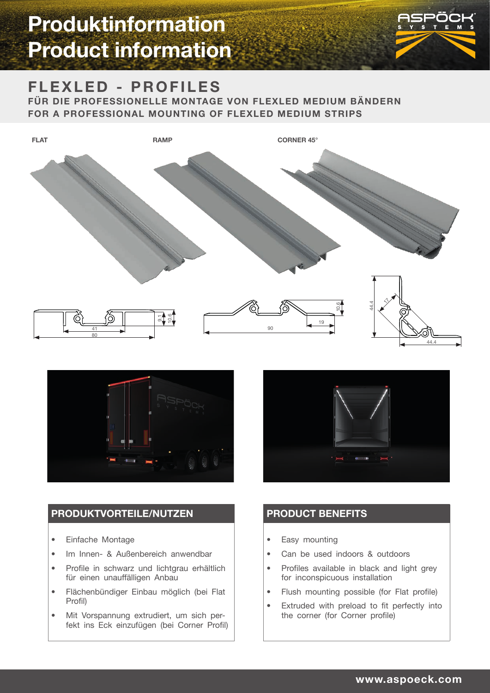

### **FLEXLED - PROFILES**

**FÜR DIE PROFESSIONELLE MONTAGE VON FLEXLED MEDIUM BÄNDERN FOR A PROFESSIONAL MOUNTING OF FLEXLED MEDIUM STRIPS**





### **PRODUKTVORTEILE/NUTZEN**

- Einfache Montage
- Im Innen- & Außenbereich anwendbar
- Profile in schwarz und lichtgrau erhältlich für einen unauffälligen Anbau
- Flächenbündiger Einbau möglich (bei Flat Profil)
- Mit Vorspannung extrudiert, um sich perfekt ins Eck einzufügen (bei Corner Profil)



### **PRODUCT BENEFITS**

- Easy mounting
- Can be used indoors & outdoors
- Profiles available in black and light grey for inconspicuous installation
- Flush mounting possible (for Flat profile)
- Extruded with preload to fit perfectly into the corner (for Corner profile)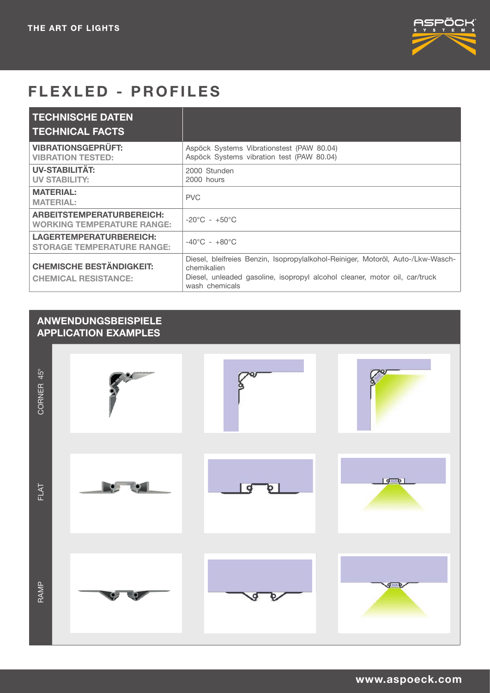

## **FLEXLED - PROFILES**

| <b>TECHNISCHE DATEN</b><br><b>TECHNICAL FACTS</b>                     |                                                                                                                                                                                                |
|-----------------------------------------------------------------------|------------------------------------------------------------------------------------------------------------------------------------------------------------------------------------------------|
| <b>VIBRATIONSGEPRÜFT:</b><br><b>VIBRATION TESTED:</b>                 | Aspöck Systems Vibrationstest (PAW 80.04)<br>Aspöck Systems vibration test (PAW 80.04)                                                                                                         |
| <b>UV-STABILITÄT:</b><br><b>UV STABILITY:</b>                         | 2000 Stunden<br>2000 hours                                                                                                                                                                     |
| <b>MATERIAL:</b><br><b>MATERIAL:</b>                                  | <b>PVC</b>                                                                                                                                                                                     |
| <b>ARBEITSTEMPERATURBEREICH:</b><br><b>WORKING TEMPERATURE RANGE:</b> | $-20^{\circ}$ C - $+50^{\circ}$ C                                                                                                                                                              |
| LAGERTEMPERATURBEREICH:<br><b>STORAGE TEMPERATURE RANGE:</b>          | $-40^{\circ}$ C - $+80^{\circ}$ C                                                                                                                                                              |
| <b>CHEMISCHE BESTÄNDIGKEIT:</b><br><b>CHEMICAL RESISTANCE:</b>        | Diesel, bleifreies Benzin, Isopropylalkohol-Reiniger, Motoröl, Auto-/Lkw-Wasch-<br>chemikalien<br>Diesel, unleaded gasoline, isopropyl alcohol cleaner, motor oil, car/truck<br>wash chemicals |

### **ANWENDUNGSBEISPIELE APPLICATION EXAMPLES**